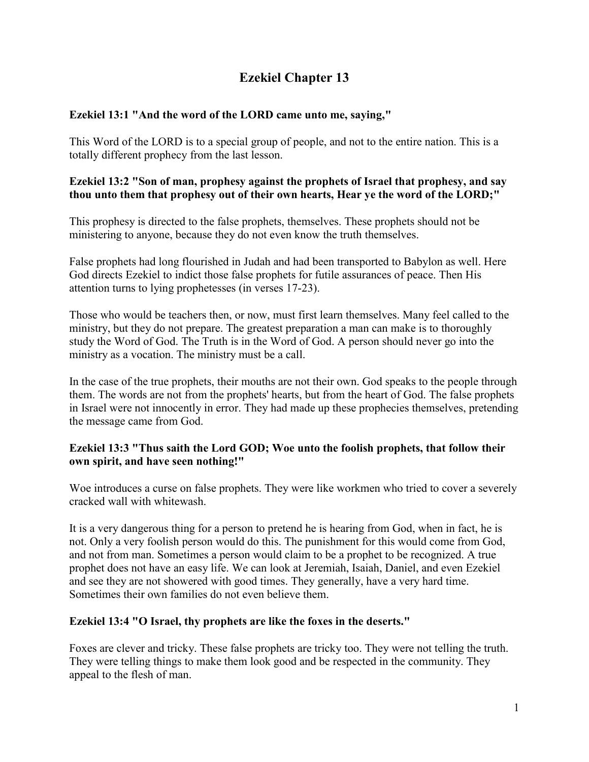# **Ezekiel Chapter 13**

## **Ezekiel 13:1 "And the word of the LORD came unto me, saying,"**

This Word of the LORD is to a special group of people, and not to the entire nation. This is a totally different prophecy from the last lesson.

#### **Ezekiel 13:2 "Son of man, prophesy against the prophets of Israel that prophesy, and say thou unto them that prophesy out of their own hearts, Hear ye the word of the LORD;"**

This prophesy is directed to the false prophets, themselves. These prophets should not be ministering to anyone, because they do not even know the truth themselves.

False prophets had long flourished in Judah and had been transported to Babylon as well. Here God directs Ezekiel to indict those false prophets for futile assurances of peace. Then His attention turns to lying prophetesses (in verses 17-23).

Those who would be teachers then, or now, must first learn themselves. Many feel called to the ministry, but they do not prepare. The greatest preparation a man can make is to thoroughly study the Word of God. The Truth is in the Word of God. A person should never go into the ministry as a vocation. The ministry must be a call.

In the case of the true prophets, their mouths are not their own. God speaks to the people through them. The words are not from the prophets' hearts, but from the heart of God. The false prophets in Israel were not innocently in error. They had made up these prophecies themselves, pretending the message came from God.

## **Ezekiel 13:3 "Thus saith the Lord GOD; Woe unto the foolish prophets, that follow their own spirit, and have seen nothing!"**

Woe introduces a curse on false prophets. They were like workmen who tried to cover a severely cracked wall with whitewash.

It is a very dangerous thing for a person to pretend he is hearing from God, when in fact, he is not. Only a very foolish person would do this. The punishment for this would come from God, and not from man. Sometimes a person would claim to be a prophet to be recognized. A true prophet does not have an easy life. We can look at Jeremiah, Isaiah, Daniel, and even Ezekiel and see they are not showered with good times. They generally, have a very hard time. Sometimes their own families do not even believe them.

#### **Ezekiel 13:4 "O Israel, thy prophets are like the foxes in the deserts."**

Foxes are clever and tricky. These false prophets are tricky too. They were not telling the truth. They were telling things to make them look good and be respected in the community. They appeal to the flesh of man.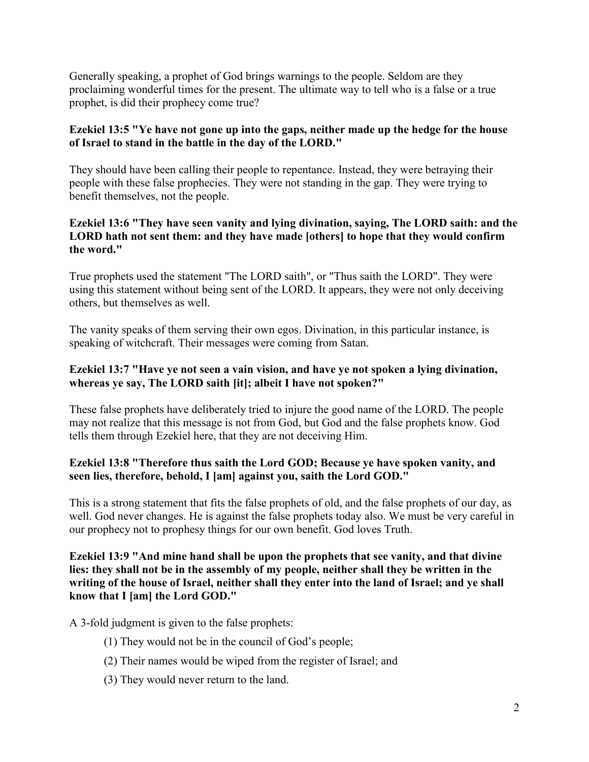Generally speaking, a prophet of God brings warnings to the people. Seldom are they proclaiming wonderful times for the present. The ultimate way to tell who is a false or a true prophet, is did their prophecy come true?

#### **Ezekiel 13:5 "Ye have not gone up into the gaps, neither made up the hedge for the house of Israel to stand in the battle in the day of the LORD."**

They should have been calling their people to repentance. Instead, they were betraying their people with these false prophecies. They were not standing in the gap. They were trying to benefit themselves, not the people.

#### **Ezekiel 13:6 "They have seen vanity and lying divination, saying, The LORD saith: and the LORD hath not sent them: and they have made [others] to hope that they would confirm the word."**

True prophets used the statement "The LORD saith", or "Thus saith the LORD". They were using this statement without being sent of the LORD. It appears, they were not only deceiving others, but themselves as well.

The vanity speaks of them serving their own egos. Divination, in this particular instance, is speaking of witchcraft. Their messages were coming from Satan.

#### **Ezekiel 13:7 "Have ye not seen a vain vision, and have ye not spoken a lying divination, whereas ye say, The LORD saith [it]; albeit I have not spoken?"**

These false prophets have deliberately tried to injure the good name of the LORD. The people may not realize that this message is not from God, but God and the false prophets know. God tells them through Ezekiel here, that they are not deceiving Him.

#### **Ezekiel 13:8 "Therefore thus saith the Lord GOD; Because ye have spoken vanity, and seen lies, therefore, behold, I [am] against you, saith the Lord GOD."**

This is a strong statement that fits the false prophets of old, and the false prophets of our day, as well. God never changes. He is against the false prophets today also. We must be very careful in our prophecy not to prophesy things for our own benefit. God loves Truth.

#### **Ezekiel 13:9 "And mine hand shall be upon the prophets that see vanity, and that divine lies: they shall not be in the assembly of my people, neither shall they be written in the writing of the house of Israel, neither shall they enter into the land of Israel; and ye shall know that I [am] the Lord GOD."**

A 3-fold judgment is given to the false prophets:

- (1) They would not be in the council of God's people;
- (2) Their names would be wiped from the register of Israel; and
- (3) They would never return to the land.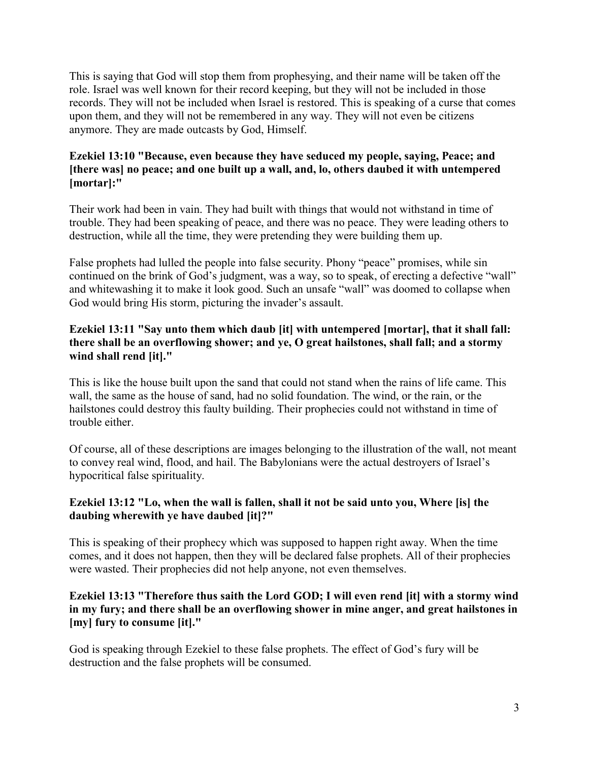This is saying that God will stop them from prophesying, and their name will be taken off the role. Israel was well known for their record keeping, but they will not be included in those records. They will not be included when Israel is restored. This is speaking of a curse that comes upon them, and they will not be remembered in any way. They will not even be citizens anymore. They are made outcasts by God, Himself.

#### **Ezekiel 13:10 "Because, even because they have seduced my people, saying, Peace; and [there was] no peace; and one built up a wall, and, lo, others daubed it with untempered [mortar]:"**

Their work had been in vain. They had built with things that would not withstand in time of trouble. They had been speaking of peace, and there was no peace. They were leading others to destruction, while all the time, they were pretending they were building them up.

False prophets had lulled the people into false security. Phony "peace" promises, while sin continued on the brink of God's judgment, was a way, so to speak, of erecting a defective "wall" and whitewashing it to make it look good. Such an unsafe "wall" was doomed to collapse when God would bring His storm, picturing the invader's assault.

#### **Ezekiel 13:11 "Say unto them which daub [it] with untempered [mortar], that it shall fall: there shall be an overflowing shower; and ye, O great hailstones, shall fall; and a stormy wind shall rend [it]."**

This is like the house built upon the sand that could not stand when the rains of life came. This wall, the same as the house of sand, had no solid foundation. The wind, or the rain, or the hailstones could destroy this faulty building. Their prophecies could not withstand in time of trouble either.

Of course, all of these descriptions are images belonging to the illustration of the wall, not meant to convey real wind, flood, and hail. The Babylonians were the actual destroyers of Israel's hypocritical false spirituality.

## **Ezekiel 13:12 "Lo, when the wall is fallen, shall it not be said unto you, Where [is] the daubing wherewith ye have daubed [it]?"**

This is speaking of their prophecy which was supposed to happen right away. When the time comes, and it does not happen, then they will be declared false prophets. All of their prophecies were wasted. Their prophecies did not help anyone, not even themselves.

#### **Ezekiel 13:13 "Therefore thus saith the Lord GOD; I will even rend [it] with a stormy wind in my fury; and there shall be an overflowing shower in mine anger, and great hailstones in [my] fury to consume [it]."**

God is speaking through Ezekiel to these false prophets. The effect of God's fury will be destruction and the false prophets will be consumed.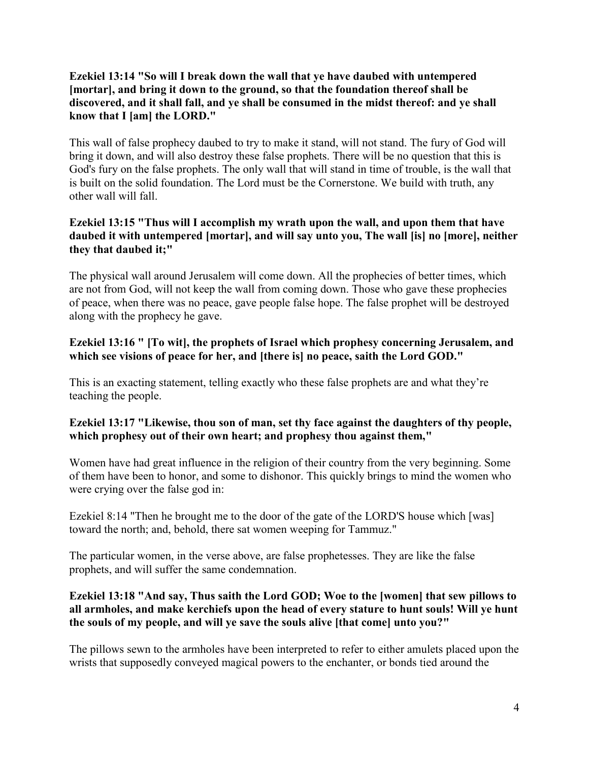#### **Ezekiel 13:14 "So will I break down the wall that ye have daubed with untempered [mortar], and bring it down to the ground, so that the foundation thereof shall be discovered, and it shall fall, and ye shall be consumed in the midst thereof: and ye shall know that I [am] the LORD."**

This wall of false prophecy daubed to try to make it stand, will not stand. The fury of God will bring it down, and will also destroy these false prophets. There will be no question that this is God's fury on the false prophets. The only wall that will stand in time of trouble, is the wall that is built on the solid foundation. The Lord must be the Cornerstone. We build with truth, any other wall will fall.

#### **Ezekiel 13:15 "Thus will I accomplish my wrath upon the wall, and upon them that have daubed it with untempered [mortar], and will say unto you, The wall [is] no [more], neither they that daubed it;"**

The physical wall around Jerusalem will come down. All the prophecies of better times, which are not from God, will not keep the wall from coming down. Those who gave these prophecies of peace, when there was no peace, gave people false hope. The false prophet will be destroyed along with the prophecy he gave.

#### **Ezekiel 13:16 " [To wit], the prophets of Israel which prophesy concerning Jerusalem, and which see visions of peace for her, and [there is] no peace, saith the Lord GOD."**

This is an exacting statement, telling exactly who these false prophets are and what they're teaching the people.

#### **Ezekiel 13:17 "Likewise, thou son of man, set thy face against the daughters of thy people, which prophesy out of their own heart; and prophesy thou against them,"**

Women have had great influence in the religion of their country from the very beginning. Some of them have been to honor, and some to dishonor. This quickly brings to mind the women who were crying over the false god in:

Ezekiel 8:14 "Then he brought me to the door of the gate of the LORD'S house which [was] toward the north; and, behold, there sat women weeping for Tammuz."

The particular women, in the verse above, are false prophetesses. They are like the false prophets, and will suffer the same condemnation.

#### **Ezekiel 13:18 "And say, Thus saith the Lord GOD; Woe to the [women] that sew pillows to all armholes, and make kerchiefs upon the head of every stature to hunt souls! Will ye hunt the souls of my people, and will ye save the souls alive [that come] unto you?"**

The pillows sewn to the armholes have been interpreted to refer to either amulets placed upon the wrists that supposedly conveyed magical powers to the enchanter, or bonds tied around the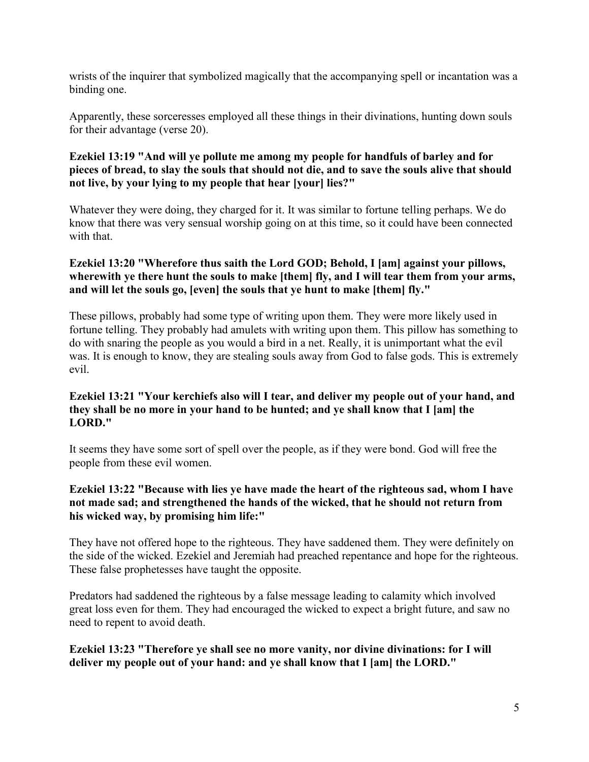wrists of the inquirer that symbolized magically that the accompanying spell or incantation was a binding one.

Apparently, these sorceresses employed all these things in their divinations, hunting down souls for their advantage (verse 20).

#### **Ezekiel 13:19 "And will ye pollute me among my people for handfuls of barley and for pieces of bread, to slay the souls that should not die, and to save the souls alive that should not live, by your lying to my people that hear [your] lies?"**

Whatever they were doing, they charged for it. It was similar to fortune telling perhaps. We do know that there was very sensual worship going on at this time, so it could have been connected with that.

#### **Ezekiel 13:20 "Wherefore thus saith the Lord GOD; Behold, I [am] against your pillows, wherewith ye there hunt the souls to make [them] fly, and I will tear them from your arms, and will let the souls go, [even] the souls that ye hunt to make [them] fly."**

These pillows, probably had some type of writing upon them. They were more likely used in fortune telling. They probably had amulets with writing upon them. This pillow has something to do with snaring the people as you would a bird in a net. Really, it is unimportant what the evil was. It is enough to know, they are stealing souls away from God to false gods. This is extremely evil.

#### **Ezekiel 13:21 "Your kerchiefs also will I tear, and deliver my people out of your hand, and they shall be no more in your hand to be hunted; and ye shall know that I [am] the LORD."**

It seems they have some sort of spell over the people, as if they were bond. God will free the people from these evil women.

#### **Ezekiel 13:22 "Because with lies ye have made the heart of the righteous sad, whom I have not made sad; and strengthened the hands of the wicked, that he should not return from his wicked way, by promising him life:"**

They have not offered hope to the righteous. They have saddened them. They were definitely on the side of the wicked. Ezekiel and Jeremiah had preached repentance and hope for the righteous. These false prophetesses have taught the opposite.

Predators had saddened the righteous by a false message leading to calamity which involved great loss even for them. They had encouraged the wicked to expect a bright future, and saw no need to repent to avoid death.

#### **Ezekiel 13:23 "Therefore ye shall see no more vanity, nor divine divinations: for I will deliver my people out of your hand: and ye shall know that I [am] the LORD."**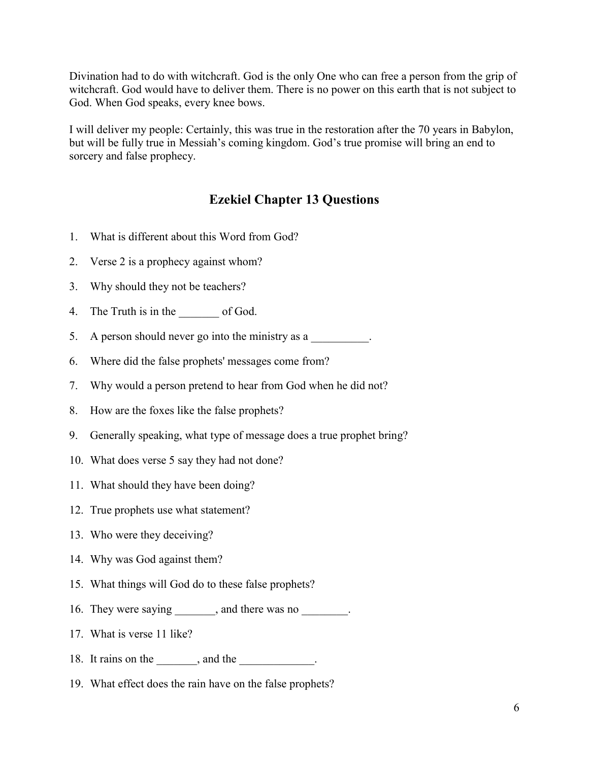Divination had to do with witchcraft. God is the only One who can free a person from the grip of witchcraft. God would have to deliver them. There is no power on this earth that is not subject to God. When God speaks, every knee bows.

I will deliver my people: Certainly, this was true in the restoration after the 70 years in Babylon, but will be fully true in Messiah's coming kingdom. God's true promise will bring an end to sorcery and false prophecy.

## **Ezekiel Chapter 13 Questions**

- 1. What is different about this Word from God?
- 2. Verse 2 is a prophecy against whom?
- 3. Why should they not be teachers?
- 4. The Truth is in the \_\_\_\_\_\_\_ of God.
- 5. A person should never go into the ministry as a
- 6. Where did the false prophets' messages come from?
- 7. Why would a person pretend to hear from God when he did not?
- 8. How are the foxes like the false prophets?
- 9. Generally speaking, what type of message does a true prophet bring?
- 10. What does verse 5 say they had not done?
- 11. What should they have been doing?
- 12. True prophets use what statement?
- 13. Who were they deceiving?
- 14. Why was God against them?
- 15. What things will God do to these false prophets?
- 16. They were saying and there was no  $\blacksquare$ .
- 17. What is verse 11 like?
- 18. It rains on the  $\qquad \qquad$ , and the  $\qquad \qquad$ .
- 19. What effect does the rain have on the false prophets?